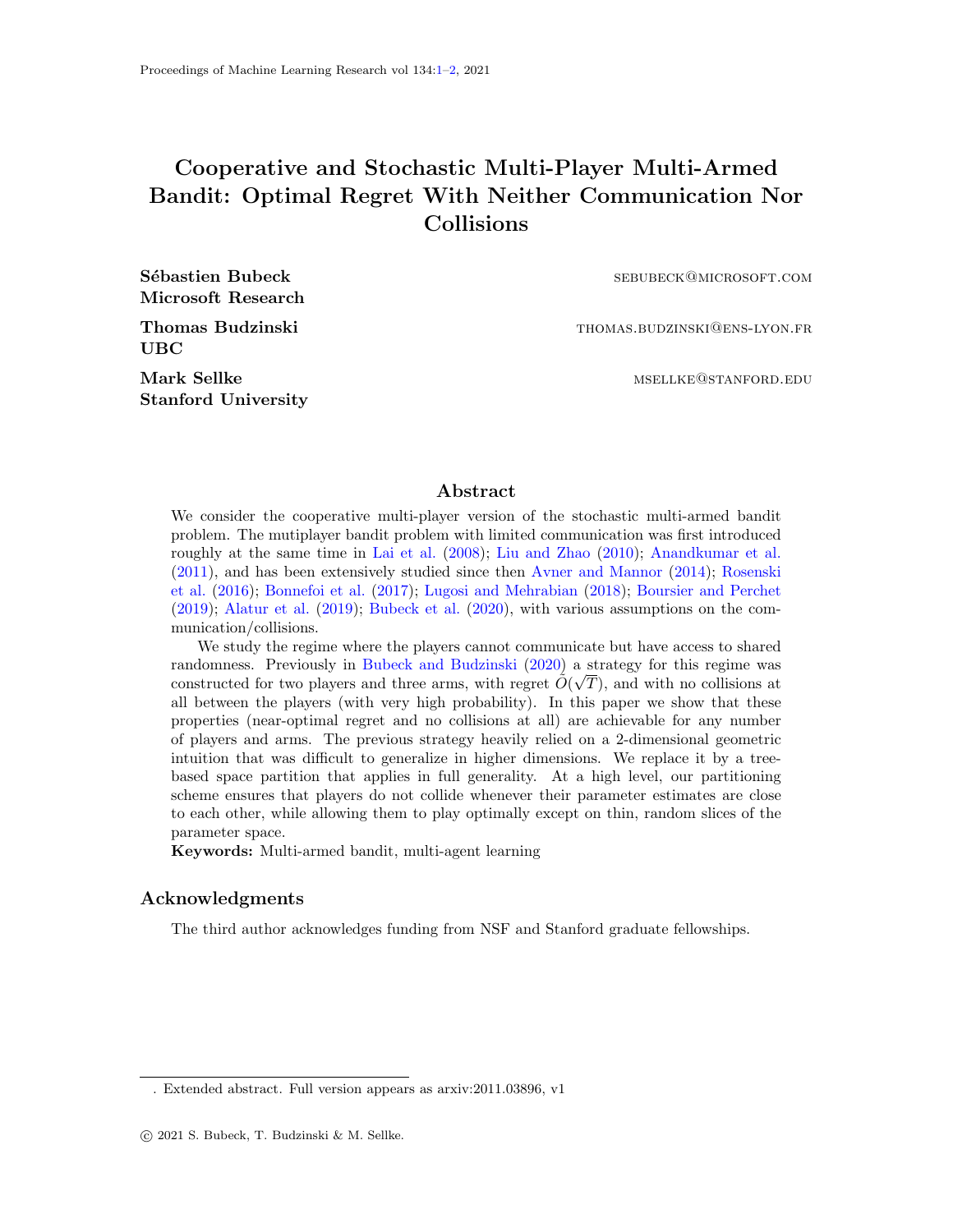## <span id="page-0-0"></span>Cooperative and Stochastic Multi-Player Multi-Armed Bandit: Optimal Regret With Neither Communication Nor Collisions

Microsoft Research

Sébastien Bubeck sebubeck sebubeck@microsoft.com

Thomas Budzinski thomas.budzinski thomas.budzinski thomas.budzinski metal

UBC

Stanford University

Mark Sellke mselledu and the material method of the material method of the material method. EDU

## Abstract

We consider the cooperative multi-player version of the stochastic multi-armed bandit problem. The mutiplayer bandit problem with limited communication was first introduced roughly at the same time in [Lai et al.](#page-1-1) [\(2008\)](#page-1-1); [Liu and Zhao](#page-1-2) [\(2010\)](#page-1-2); [Anandkumar et al.](#page-1-3) [\(2011\)](#page-1-3), and has been extensively studied since then [Avner and Mannor](#page-1-4) [\(2014\)](#page-1-4); [Rosenski](#page-1-5) [et al.](#page-1-5) [\(2016\)](#page-1-5); [Bonnefoi et al.](#page-1-6) [\(2017\)](#page-1-6); [Lugosi and Mehrabian](#page-1-7) [\(2018\)](#page-1-7); [Boursier and Perchet](#page-1-8) [\(2019\)](#page-1-8); [Alatur et al.](#page-1-9) [\(2019\)](#page-1-9); [Bubeck et al.](#page-1-10) [\(2020\)](#page-1-10), with various assumptions on the communication/collisions.

We study the regime where the players cannot communicate but have access to shared randomness. Previously in [Bubeck and Budzinski](#page-1-11) [\(2020\)](#page-1-11) a strategy for this regime was constructed for two players and three arms, with regret  $\tilde{O}(\sqrt{T})$ , and with no collisions at all between the players (with very high probability). In this paper we show that these properties (near-optimal regret and no collisions at all) are achievable for any number of players and arms. The previous strategy heavily relied on a 2-dimensional geometric intuition that was difficult to generalize in higher dimensions. We replace it by a treebased space partition that applies in full generality. At a high level, our partitioning scheme ensures that players do not collide whenever their parameter estimates are close to each other, while allowing them to play optimally except on thin, random slices of the parameter space.

Keywords: Multi-armed bandit, multi-agent learning

## Acknowledgments

The third author acknowledges funding from NSF and Stanford graduate fellowships.

<sup>.</sup> Extended abstract. Full version appears as arxiv:2011.03896, v1